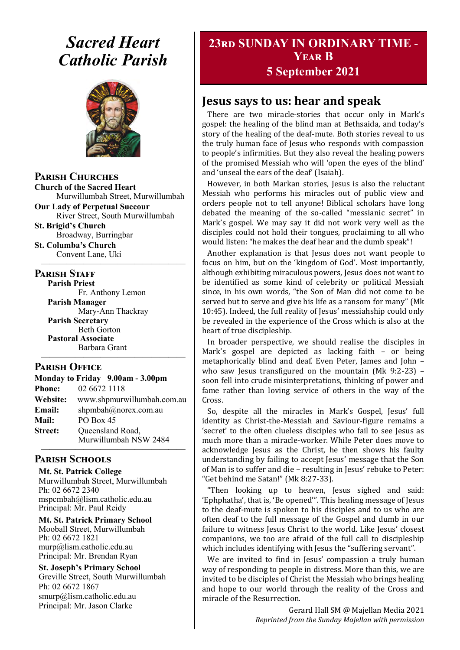# *Sacred Heart Catholic Parish*



**Parish Churches**

**Church of the Sacred Heart** Murwillumbah Street, Murwillumbah

**Our Lady of Perpetual Succour** River Street, South Murwillumbah

**St. Brigid's Church** Broadway, Burringbar

**St. Columba's Church** Convent Lane, Uki —————————————————

### **PARISH STAFF**

**Parish Priest** Fr. Anthony Lemon

**Parish Manager** Mary-Ann Thackray **Parish Secretary** Beth Gorton **Pastoral Associate** Barbara Grant

# **Parish Office**

**Monday to Friday 9.00am - 3.00pm Phone:** 02 6672 1118 **Website:** www.shpmurwillumbah.com.au **Email:** shpmbah@norex.com.au **Mail:** PO Box 45 **Street:** Oueensland Road, Murwillumbah NSW 2484

—————————————————

#### ————————————————— **Parish Schools**

**Mt. St. Patrick College** Murwillumbah Street, Murwillumbah Ph: 02 6672 2340 mspcmbah@lism.catholic.edu.au Principal: Mr. Paul Reidy

**Mt. St. Patrick Primary School** Mooball Street, Murwillumbah Ph: 02 6672 1821 murp@lism.catholic.edu.au Principal: Mr. Brendan Ryan

**St. Joseph's Primary School** Greville Street, South Murwillumbah Ph: 02 6672 1867 smurp@lism.catholic.edu.au Principal: Mr. Jason Clarke

# **23rd SUNDAY IN ORDINARY TIME - Year B 5 September 2021**

# **Jesus says to us: hear and speak**

There are two miracle-stories that occur only in Mark's gospel: the healing of the blind man at Bethsaida, and today's story of the healing of the deaf-mute. Both stories reveal to us the truly human face of Jesus who responds with compassion to people's infirmities. But they also reveal the healing powers of the promised Messiah who will 'open the eyes of the blind' and 'unseal the ears of the deaf' (Isaiah).

However, in both Markan stories, Jesus is also the reluctant Messiah who performs his miracles out of public view and orders people not to tell anyone! Biblical scholars have long debated the meaning of the so-called "messianic secret" in Mark's gospel. We may say it did not work very well as the disciples could not hold their tongues, proclaiming to all who would listen: "he makes the deaf hear and the dumb speak"!

Another explanation is that Jesus does not want people to focus on him, but on the 'kingdom of God'. Most importantly, although exhibiting miraculous powers, Jesus does not want to be identified as some kind of celebrity or political Messiah since, in his own words, "the Son of Man did not come to be served but to serve and give his life as a ransom for many" (Mk 10:45). Indeed, the full reality of Jesus' messiahship could only be revealed in the experience of the Cross which is also at the heart of true discipleship.

In broader perspective, we should realise the disciples in Mark's gospel are depicted as lacking faith – or being metaphorically blind and deaf. Even Peter, James and John – who saw Jesus transfigured on the mountain (Mk 9:2-23) – soon fell into crude misinterpretations, thinking of power and fame rather than loving service of others in the way of the Cross.

So, despite all the miracles in Mark's Gospel, Jesus' full identity as Christ-the-Messiah and Saviour-figure remains a 'secret' to the often clueless disciples who fail to see Jesus as much more than a miracle-worker. While Peter does move to acknowledge Jesus as the Christ, he then shows his faulty understanding by failing to accept Jesus' message that the Son of Man is to suffer and die – resulting in Jesus' rebuke to Peter: "Get behind me Satan!" (Mk 8:27-33).

"Then looking up to heaven, Jesus sighed and said: 'Ephphatha', that is, 'Be opened'". This healing message of Jesus to the deaf-mute is spoken to his disciples and to us who are often deaf to the full message of the Gospel and dumb in our failure to witness Jesus Christ to the world. Like Jesus' closest companions, we too are afraid of the full call to discipleship which includes identifying with Jesus the "suffering servant".

We are invited to find in Jesus' compassion a truly human way of responding to people in distress. More than this, we are invited to be disciples of Christ the Messiah who brings healing and hope to our world through the reality of the Cross and miracle of the Resurrection.

> Gerard Hall SM @ Majellan Media 2021 *Reprinted from the Sunday Majellan with permission*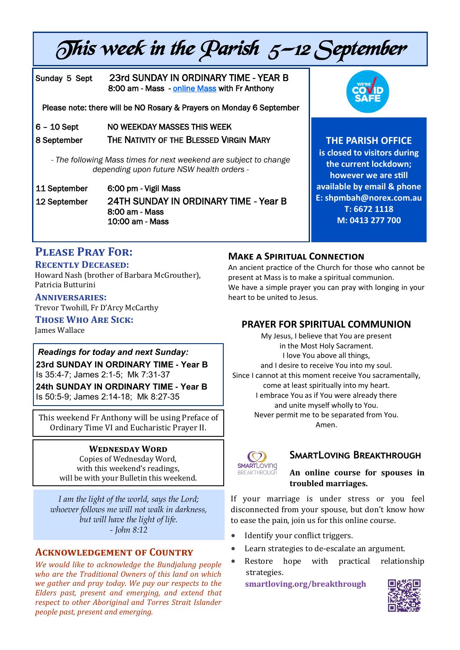# This week in the Parish  $5$ –12 September

# Sunday 5 Sept 23rd SUNDAY IN ORDINARY TIME - YEAR B 8:00 am - Mass - [online Mass w](https://www.youtube.com/channel/UCQUNxgDO5WeZpoYNeJK24gA)ith Fr Anthony

Please note: there will be NO Rosary & Prayers on Monday 6 September

6 - 10 Sept NO WEEKDAY MASSES THIS WEEK

8 September THE NATIVITY OF THE BLESSED VIRGIN MARY

*- The following Mass times for next weekend are subject to change depending upon future NSW health orders -*

11 September 6:00 pm - Vigil Mass 12 September 24TH SUNDAY IN ORDINARY TIME - Year B 8:00 am - Mass 10:00 am - Mass



**THE PARISH OFFICE** 

**is closed to visitors during the current lockdown; however we are still available by email & phone E: shpmbah@norex.com.au T: 6672 1118 M: 0413 277 700**

# **Please Pray For:**

#### **Recently Deceased:**

Howard Nash (brother of Barbara McGrouther), Patricia Butturini

**Anniversaries:**  Trevor Twohill, Fr D'Arcy McCarthy

**Those Who Are Sick:** 

James Wallace

### *Readings for today and next Sunday:*  **23rd SUNDAY IN ORDINARY TIME - Year B**  Is 35:4-7; James 2:1-5; Mk 7:31-37

**24th SUNDAY IN ORDINARY TIME - Year B**  Is 50:5-9; James 2:14-18; Mk 8:27-35

This weekend Fr Anthony will be using Preface of Ordinary Time VI and Eucharistic Prayer II.

#### **Wednesday Word**

Copies of Wednesday Word, with this weekend's readings, will be with your Bulletin this weekend.

*I am the light of the world, says the Lord; whoever follows me will not walk in darkness, but will have the light of life. - John 8:12*

# **Acknowledgement of Country**

*We would like to acknowledge the Bundjalung people who are the Traditional Owners of this land on which we gather and pray today. We pay our respects to the Elders past, present and emerging, and extend that respect to other Aboriginal and Torres Strait Islander people past, present and emerging.* 

# **Make a Spiritual Connection**

An ancient practice of the Church for those who cannot be present at Mass is to make a spiritual communion. We have a simple prayer you can pray with longing in your heart to be united to Jesus.

# **PRAYER FOR SPIRITUAL COMMUNION**

My Jesus, I believe that You are present in the Most Holy Sacrament. I love You above all things, and I desire to receive You into my soul. Since I cannot at this moment receive You sacramentally, come at least spiritually into my heart. I embrace You as if You were already there and unite myself wholly to You. Never permit me to be separated from You. Amen.



# **SmartLoving Breakthrough**

## **An online course for spouses in troubled marriages.**

If your marriage is under stress or you feel disconnected from your spouse, but don't know how to ease the pain, join us for this online course.

- Identify your conflict triggers.
- Learn strategies to de-escalate an argument.
- Restore hope with practical relationship strategies.

**[smartloving.org/breakthrough](https://pmrc.ontraport.com/c/s/2Q9/Dmfj/z/vlq7/6CB/6gp8HJ/vvPirRrDv4/P/P/aY)**

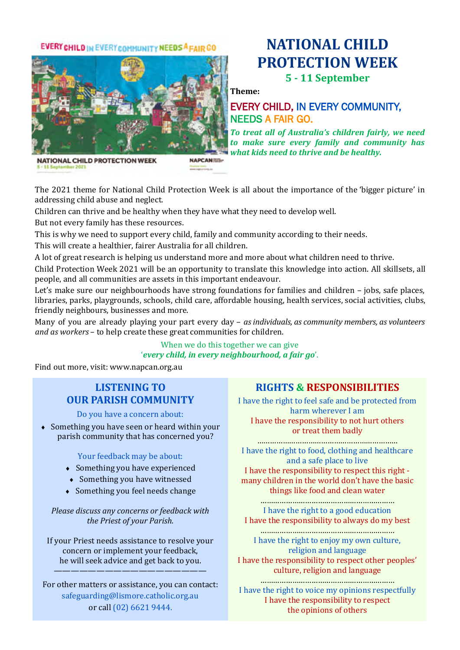## **EVERY CHILD IN EVERY COMMUNITY NEEDS A FAIR GO**

# **NATIONAL CHILD PROTECTION WEEK 5 - 11 September**

**Theme:**

# EVERY CHILD, IN EVERY COMMUNITY, NEEDS A FAIR GO.

*To treat all of Australia's children fairly, we need to make sure every family and community has what kids need to thrive and be healthy.*



The 2021 theme for National Child Protection Week is all about the importance of the 'bigger picture' in addressing child abuse and neglect.

Children can thrive and be healthy when they have what they need to develop well.

But not every family has these resources.

This is why we need to support every child, family and community according to their needs.

**NAPCAN REP** 

This will create a healthier, fairer Australia for all children.

A lot of great research is helping us understand more and more about what children need to thrive.

Child Protection Week 2021 will be an opportunity to translate this knowledge into action. All skillsets, all people, and all communities are assets in this important endeavour.

Let's make sure our neighbourhoods have strong foundations for families and children – jobs, safe places, libraries, parks, playgrounds, schools, child care, affordable housing, health services, social activities, clubs, friendly neighbours, businesses and more.

Many of you are already playing your part every day – *as individuals, as community members, as volunteers and as workers* – to help create these great communities for children.

#### When we do this together we can give '*every child, in every neighbourhood, a fair go*'.

Find out more, visit: www.napcan.org.au

# **LISTENING TO OUR PARISH COMMUNITY**

Do you have a concern about:

 Something you have seen or heard within your parish community that has concerned you?

#### Your feedback may be about:

- Something you have experienced
- Something you have witnessed
- Something you feel needs change

#### *Please discuss any concerns or feedback with the Priest of your Parish.*

If your Priest needs assistance to resolve your concern or implement your feedback, he will seek advice and get back to you.

——————————————————

For other matters or assistance, you can contact: safeguarding@lismore.catholic.org.au or call (02) 6621 9444.

# **RIGHTS & RESPONSIBILITIES**

I have the right to feel safe and be protected from harm wherever I am I have the responsibility to not hurt others or treat them badly

………………………………………………………… I have the right to food, clothing and healthcare and a safe place to live I have the responsibility to respect this right many children in the world don't have the basic things like food and clean water

……………………………………………………… I have the right to a good education I have the responsibility to always do my best

……………………………………………………… I have the right to enjoy my own culture, religion and language I have the responsibility to respect other peoples' culture, religion and language

……………………………………………………… I have the right to voice my opinions respectfully I have the responsibility to respect the opinions of others